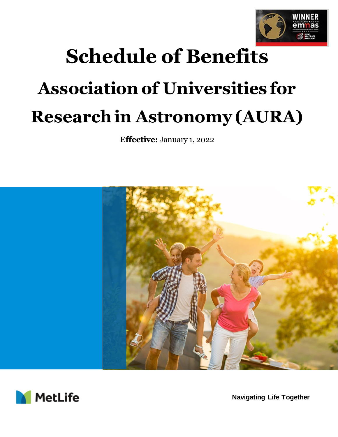

# **Schedule of Benefits Association of Universities for Research in Astronomy (AURA)**

**Effective:** January 1, 2022





**Navigating Life Together**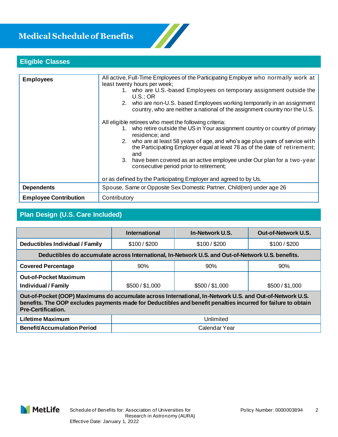# **Medical Schedule of Benefits**



## **Eligible Classes**

| <b>Employees</b>             | All active, Full-Time Employees of the Participating Employer who normally work at<br>least twenty hours per week;<br>1. who are U.S.-based Employees on temporary assignment outside the<br>U.S.:OR<br>2. who are non-U.S. based Employees working temporarily in an assignment<br>country, who are neither a national of the assignment country nor the U.S.<br>All eligible retirees who meet the following criteria:<br>1. who retire outside the US in Your assignment country or country of primary<br>residence; and<br>2. who are at least 58 years of age, and who's age plus years of service with<br>the Participating Employer equal at least 78 as of the date of retirement;<br>and<br>have been covered as an active employee under Our plan for a two-year<br>3.<br>consecutive period prior to retirement; |  |
|------------------------------|-----------------------------------------------------------------------------------------------------------------------------------------------------------------------------------------------------------------------------------------------------------------------------------------------------------------------------------------------------------------------------------------------------------------------------------------------------------------------------------------------------------------------------------------------------------------------------------------------------------------------------------------------------------------------------------------------------------------------------------------------------------------------------------------------------------------------------|--|
|                              | or as defined by the Participating Employer and agreed to by Us.                                                                                                                                                                                                                                                                                                                                                                                                                                                                                                                                                                                                                                                                                                                                                            |  |
| <b>Dependents</b>            | Spouse, Same or Opposite Sex Domestic Partner, Child(ren) under age 26                                                                                                                                                                                                                                                                                                                                                                                                                                                                                                                                                                                                                                                                                                                                                      |  |
| <b>Employee Contribution</b> | Contributory                                                                                                                                                                                                                                                                                                                                                                                                                                                                                                                                                                                                                                                                                                                                                                                                                |  |

# **Plan Design (U.S. Care Included)**

|                                                                                                                                                                                                                                                        | <b>International</b> | In-Network U.S. | <b>Out-of-Network U.S.</b> |  |
|--------------------------------------------------------------------------------------------------------------------------------------------------------------------------------------------------------------------------------------------------------|----------------------|-----------------|----------------------------|--|
| <b>Deductibles Individual / Family</b>                                                                                                                                                                                                                 | \$100 / \$200        | \$100 / \$200   | \$100 / \$200              |  |
| Deductibles do accumulate across International, In-Network U.S. and Out-of-Network U.S. benefits.                                                                                                                                                      |                      |                 |                            |  |
| <b>Covered Percentage</b>                                                                                                                                                                                                                              | 90%                  | 90%             | 90%                        |  |
| <b>Out-of-Pocket Maximum</b><br><b>Individual / Family</b>                                                                                                                                                                                             | \$500 / \$1,000      | \$500 / \$1,000 | \$500 / \$1,000            |  |
| Out-of-Pocket (OOP) Maximums do accumulate across International, In-Network U.S. and Out-of-Network U.S.<br>benefits. The OOP excludes payments made for Deductibles and benefit penalties incurred for failure to obtain<br><b>Pre-Certification.</b> |                      |                 |                            |  |
| <b>Lifetime Maximum</b>                                                                                                                                                                                                                                |                      | Unlimited       |                            |  |

| <b>Benefit/Accumulation Period</b> | Calendar Year |
|------------------------------------|---------------|

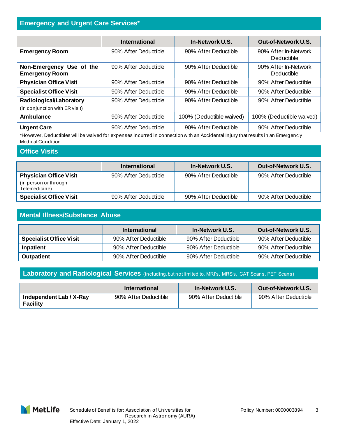## **Emergency and Urgent Care Services\***

|                                                                                                                                 | <b>International</b> | In-Network U.S.          | <b>Out-of-Network U.S.</b>         |
|---------------------------------------------------------------------------------------------------------------------------------|----------------------|--------------------------|------------------------------------|
| <b>Emergency Room</b>                                                                                                           | 90% After Deductible | 90% After Deductible     | 90% After In-Network<br>Deductible |
| Non-Emergency Use of the<br><b>Emergency Room</b>                                                                               | 90% After Deductible | 90% After Deductible     | 90% After In-Network<br>Deductible |
| <b>Physician Office Visit</b>                                                                                                   | 90% After Deductible | 90% After Deductible     | 90% After Deductible               |
| <b>Specialist Office Visit</b>                                                                                                  | 90% After Deductible | 90% After Deductible     | 90% After Deductible               |
| Radiological/Laboratory                                                                                                         | 90% After Deductible | 90% After Deductible     | 90% After Deductible               |
| (in conjunction with ER visit)                                                                                                  |                      |                          |                                    |
| <b>Ambulance</b>                                                                                                                | 90% After Deductible | 100% (Deductible waived) | 100% (Deductible waived)           |
| <b>Urgent Care</b>                                                                                                              | 90% After Deductible | 90% After Deductible     | 90% After Deductible               |
| *However, Deductibles will be wound for evangence incurred in connection with an Apoidantal Injury that requite in an Emergency |                      |                          |                                    |

\*However, Deductibles will be waived for expenses incurred in connection with an Accidental Injury that results in an Emergenc y Medical Condition.

#### **Office Visits**

|                                         | International        | In-Network U.S.      | Out-of-Network U.S.  |
|-----------------------------------------|----------------------|----------------------|----------------------|
| <b>Physician Office Visit</b>           | 90% After Deductible | 90% After Deductible | 90% After Deductible |
| (in person or through)<br>Telemedicine) |                      |                      |                      |
| <b>Specialist Office Visit</b>          | 90% After Deductible | 90% After Deductible | 90% After Deductible |

## **Mental Illness/Substance Abuse**

|                                | International        | <b>In-Network U.S.</b> | Out-of-Network U.S.  |
|--------------------------------|----------------------|------------------------|----------------------|
| <b>Specialist Office Visit</b> | 90% After Deductible | 90% After Deductible   | 90% After Deductible |
| Inpatient                      | 90% After Deductible | 90% After Deductible   | 90% After Deductible |
| <b>Outpatient</b>              | 90% After Deductible | 90% After Deductible   | 90% After Deductible |

**Laboratory and Radiological Services** (including, but not limited to, MRI's, MRS's, CAT Scans, PET Scans)

|                                            | International        | <b>In-Network U.S.</b> | Out-of-Network U.S.  |
|--------------------------------------------|----------------------|------------------------|----------------------|
| Independent Lab / X-Ray<br><b>Facility</b> | 90% After Deductible | 90% After Deductible   | 90% After Deductible |

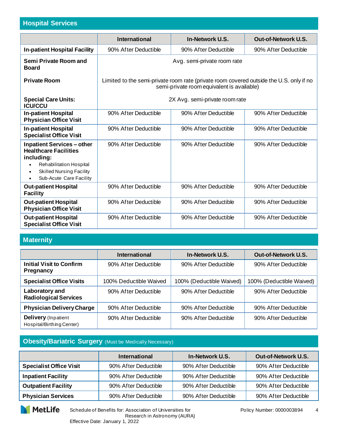## **Hospital Services**

|                                                                                                                                                                                            | <b>International</b>                                                                                                                  | In-Network U.S.                | Out-of-Network U.S.  |
|--------------------------------------------------------------------------------------------------------------------------------------------------------------------------------------------|---------------------------------------------------------------------------------------------------------------------------------------|--------------------------------|----------------------|
| <b>In-patient Hospital Facility</b>                                                                                                                                                        | 90% After Deductible                                                                                                                  | 90% After Deductible           | 90% After Deductible |
| Semi Private Room and<br><b>Board</b>                                                                                                                                                      | Avg. semi-private room rate                                                                                                           |                                |                      |
| <b>Private Room</b>                                                                                                                                                                        | Limited to the semi-private room rate (private room covered outside the U.S. only if no<br>semi-private room equivalent is available) |                                |                      |
| <b>Special Care Units:</b><br><b>ICU/CCU</b>                                                                                                                                               |                                                                                                                                       | 2X Avg. semi-private room rate |                      |
| <b>In-patient Hospital</b><br><b>Physician Office Visit</b>                                                                                                                                | 90% After Deductible                                                                                                                  | 90% After Deductible           | 90% After Deductible |
| <b>In-patient Hospital</b><br><b>Specialist Office Visit</b>                                                                                                                               | 90% After Deductible                                                                                                                  | 90% After Deductible           | 90% After Deductible |
| <b>Inpatient Services - other</b><br><b>Healthcare Facilities</b><br>including:<br>Rehabilitation Hospital<br>٠<br><b>Skilled Nursing Facility</b><br>Sub-Acute Care Facility<br>$\bullet$ | 90% After Deductible                                                                                                                  | 90% After Deductible           | 90% After Deductible |
| <b>Out-patient Hospital</b><br><b>Facility</b>                                                                                                                                             | 90% After Deductible                                                                                                                  | 90% After Deductible           | 90% After Deductible |
| <b>Out-patient Hospital</b><br><b>Physician Office Visit</b>                                                                                                                               | 90% After Deductible                                                                                                                  | 90% After Deductible           | 90% After Deductible |
| <b>Out-patient Hospital</b><br><b>Specialist Office Visit</b>                                                                                                                              | 90% After Deductible                                                                                                                  | 90% After Deductible           | 90% After Deductible |

## **Maternity**

|                                                         | <b>International</b>   | <b>In-Network U.S.</b>   | <b>Out-of-Network U.S.</b> |
|---------------------------------------------------------|------------------------|--------------------------|----------------------------|
| <b>Initial Visit to Confirm</b><br><b>Pregnancy</b>     | 90% After Deductible   | 90% After Deductible     | 90% After Deductible       |
| <b>Specialist Office Visits</b>                         | 100% Deductible Waived | 100% (Deductible Waived) | 100% (Deductible Waived)   |
| Laboratory and<br><b>Radiological Services</b>          | 90% After Deductible   | 90% After Deductible     | 90% After Deductible       |
| <b>Physician Delivery Charge</b>                        | 90% After Deductible   | 90% After Deductible     | 90% After Deductible       |
| <b>Delivery</b> (Inpatient<br>Hospital/Birthing Center) | 90% After Deductible   | 90% After Deductible     | 90% After Deductible       |

## **Obesity/Bariatric Surgery** (Must be Medically Necessary)

|                                | <b>International</b> | In-Network U.S.      | Out-of-Network U.S.  |
|--------------------------------|----------------------|----------------------|----------------------|
| <b>Specialist Office Visit</b> | 90% After Deductible | 90% After Deductible | 90% After Deductible |
| <b>Inpatient Facility</b>      | 90% After Deductible | 90% After Deductible | 90% After Deductible |
| <b>Outpatient Facility</b>     | 90% After Deductible | 90% After Deductible | 90% After Deductible |
| <b>Physician Services</b>      | 90% After Deductible | 90% After Deductible | 90% After Deductible |

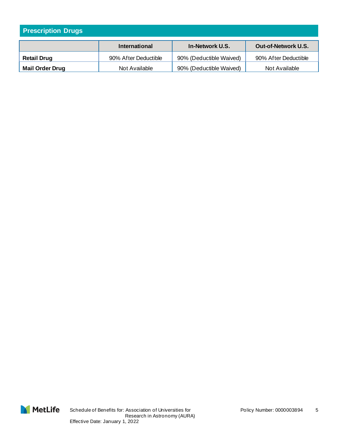| <b>Prescription Drugs</b> |                      |                         |                            |
|---------------------------|----------------------|-------------------------|----------------------------|
|                           | <b>International</b> | In-Network U.S.         | <b>Out-of-Network U.S.</b> |
| <b>Retail Drug</b>        | 90% After Deductible | 90% (Deductible Waived) | 90% After Deductible       |
| <b>Mail Order Drug</b>    | Not Available        | 90% (Deductible Waived) | Not Available              |

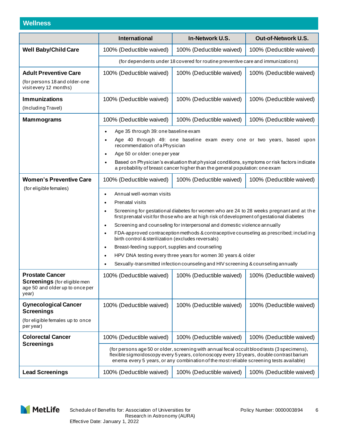## **Wellness**

|                                                                                                           | <b>International</b>                                                                                                                                                                                                                                                                                                                                                                                                                                                                                                                                                                                                                                                                                                                                                                | In-Network U.S.                                                                 | Out-of-Network U.S.      |  |
|-----------------------------------------------------------------------------------------------------------|-------------------------------------------------------------------------------------------------------------------------------------------------------------------------------------------------------------------------------------------------------------------------------------------------------------------------------------------------------------------------------------------------------------------------------------------------------------------------------------------------------------------------------------------------------------------------------------------------------------------------------------------------------------------------------------------------------------------------------------------------------------------------------------|---------------------------------------------------------------------------------|--------------------------|--|
| <b>Well Baby/Child Care</b>                                                                               | 100% (Deductible waived)                                                                                                                                                                                                                                                                                                                                                                                                                                                                                                                                                                                                                                                                                                                                                            | 100% (Deductible waived)                                                        | 100% (Deductible waived) |  |
|                                                                                                           |                                                                                                                                                                                                                                                                                                                                                                                                                                                                                                                                                                                                                                                                                                                                                                                     | (for dependents under 18 covered for routine preventive care and immunizations) |                          |  |
| <b>Adult Preventive Care</b><br>(for persons 18 and older-one<br>visit every 12 months)                   | 100% (Deductible waived)                                                                                                                                                                                                                                                                                                                                                                                                                                                                                                                                                                                                                                                                                                                                                            | 100% (Deductible waived)                                                        | 100% (Deductible waived) |  |
| <b>Immunizations</b><br>(Including Travel)                                                                | 100% (Deductible waived)                                                                                                                                                                                                                                                                                                                                                                                                                                                                                                                                                                                                                                                                                                                                                            | 100% (Deductible waived)                                                        | 100% (Deductible waived) |  |
| <b>Mammograms</b>                                                                                         | 100% (Deductible waived)                                                                                                                                                                                                                                                                                                                                                                                                                                                                                                                                                                                                                                                                                                                                                            | 100% (Deductible waived)                                                        | 100% (Deductible waived) |  |
|                                                                                                           | Age 35 through 39: one baseline exam<br>$\bullet$<br>Age 40 through 49: one baseline exam every one or two years, based upon<br>$\bullet$<br>recommendation of a Physician<br>Age 50 or older: one per year<br>$\bullet$<br>Based on Physician's evaluation that physical conditions, symptoms or risk factors indicate<br>a probability of breast cancer higher than the general population: one exam                                                                                                                                                                                                                                                                                                                                                                              |                                                                                 |                          |  |
| <b>Women's Preventive Care</b>                                                                            | 100% (Deductible waived)<br>100% (Deductible waived)<br>100% (Deductible waived)                                                                                                                                                                                                                                                                                                                                                                                                                                                                                                                                                                                                                                                                                                    |                                                                                 |                          |  |
| (for eligible females)                                                                                    | Annual well-woman visits<br>$\bullet$<br>Prenatal visits<br>$\bullet$<br>Screening for gestational diabetes for women who are 24 to 28 weeks pregnant and at the<br>$\bullet$<br>first prenatal visit for those who are at high risk of development of gestational diabetes<br>Screening and counseling for interpersonal and domestic violence annually<br>$\bullet$<br>FDA-approved contraception methods & contraceptive counseling as prescribed; includ in g<br>$\bullet$<br>birth control & sterilization (excludes reversals)<br>Breast-feeding support, supplies and counseling<br>$\bullet$<br>HPV DNA testing every three years for women 30 years & older<br>$\bullet$<br>Sexually-transmitted infection counseling and HIV screening & counseling annually<br>$\bullet$ |                                                                                 |                          |  |
| <b>Prostate Cancer</b><br><b>Screenings</b> (for eligible men<br>age 50 and older up to once per<br>year) | 100% (Deductible waived)                                                                                                                                                                                                                                                                                                                                                                                                                                                                                                                                                                                                                                                                                                                                                            | 100% (Deductible waived)                                                        | 100% (Deductible waived) |  |
| <b>Gynecological Cancer</b><br><b>Screenings</b>                                                          | 100% (Deductible waived)                                                                                                                                                                                                                                                                                                                                                                                                                                                                                                                                                                                                                                                                                                                                                            | 100% (Deductible waived)                                                        | 100% (Deductible waived) |  |
| (for eligible females up to once<br>per year)                                                             |                                                                                                                                                                                                                                                                                                                                                                                                                                                                                                                                                                                                                                                                                                                                                                                     |                                                                                 |                          |  |
| <b>Colorectal Cancer</b>                                                                                  | 100% (Deductible waived)                                                                                                                                                                                                                                                                                                                                                                                                                                                                                                                                                                                                                                                                                                                                                            | 100% (Deductible waived)                                                        | 100% (Deductible waived) |  |
| <b>Screenings</b>                                                                                         | (for persons age 50 or older, screening with annual fecal occult blood tests (3 specimens),<br>flexible sigmoidoscopy every 5 years, colonoscopy every 10 years, double contrast barium<br>enema every 5 years, or any combination of the most reliable screening tests available)                                                                                                                                                                                                                                                                                                                                                                                                                                                                                                  |                                                                                 |                          |  |
| <b>Lead Screenings</b>                                                                                    | 100% (Deductible waived)                                                                                                                                                                                                                                                                                                                                                                                                                                                                                                                                                                                                                                                                                                                                                            | 100% (Deductible waived)                                                        | 100% (Deductible waived) |  |

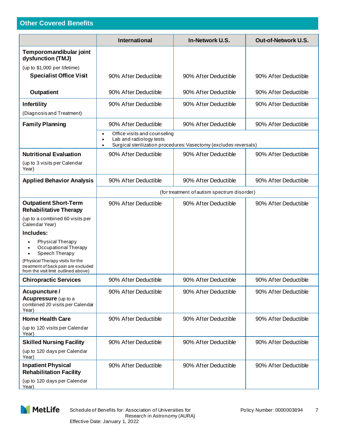# **Other Covered Benefits**

|                                                                                                                 | <b>International</b>                                                                                                                      | In-Network U.S.                             | Out-of-Network U.S.  |
|-----------------------------------------------------------------------------------------------------------------|-------------------------------------------------------------------------------------------------------------------------------------------|---------------------------------------------|----------------------|
| Temporomandibular joint<br>dysfunction (TMJ)<br>(up to \$1,000 per lifetime)                                    |                                                                                                                                           |                                             |                      |
| <b>Specialist Office Visit</b>                                                                                  | 90% After Deductible                                                                                                                      | 90% After Deductible                        | 90% After Deductible |
| <b>Outpatient</b>                                                                                               | 90% After Deductible                                                                                                                      | 90% After Deductible                        | 90% After Deductible |
| Infertility<br>(Diagnosis and Treatment)                                                                        | 90% After Deductible                                                                                                                      | 90% After Deductible                        | 90% After Deductible |
| <b>Family Planning</b>                                                                                          | 90% After Deductible                                                                                                                      | 90% After Deductible                        | 90% After Deductible |
|                                                                                                                 | Office visits and counseling<br>$\bullet$<br>Lab and radiology tests<br>Surgical sterilization procedures: Vasectomy (excludes reversals) |                                             |                      |
| <b>Nutritional Evaluation</b><br>(up to 3 visits per Calendar<br>Year)                                          | 90% After Deductible                                                                                                                      | 90% After Deductible                        | 90% After Deductible |
| <b>Applied Behavior Analysis</b>                                                                                | 90% After Deductible                                                                                                                      | 90% After Deductible                        | 90% After Deductible |
|                                                                                                                 |                                                                                                                                           | (for treatment of autism spectrum disorder) |                      |
| <b>Outpatient Short-Term</b><br><b>Rehabilitative Therapy</b>                                                   | 90% After Deductible                                                                                                                      | 90% After Deductible                        | 90% After Deductible |
| (up to a combined 60 visits per<br>Calendar Year)                                                               |                                                                                                                                           |                                             |                      |
| Includes:                                                                                                       |                                                                                                                                           |                                             |                      |
| Physical Therapy<br>Occupational Therapy<br>Speech Therapy<br>$\bullet$                                         |                                                                                                                                           |                                             |                      |
| (Physical Therapy visits for the<br>treatment of back pain are excluded<br>from the visit limit outlined above) |                                                                                                                                           |                                             |                      |
| <b>Chiropractic Services</b>                                                                                    | 90% After Deductible                                                                                                                      | 90% After Deductible                        | 90% After Deductible |
| Acupuncture /<br><b>Acupressure</b> (up to a<br>combined 20 visits per Calendar<br>Year)                        | 90% After Deductible                                                                                                                      | 90% After Deductible                        | 90% After Deductible |
| <b>Home Health Care</b>                                                                                         | 90% After Deductible                                                                                                                      | 90% After Deductible                        | 90% After Deductible |
| (up to 120 visits per Calendar<br>Year)                                                                         |                                                                                                                                           |                                             |                      |
| <b>Skilled Nursing Facility</b>                                                                                 | 90% After Deductible                                                                                                                      | 90% After Deductible                        | 90% After Deductible |
| (up to 120 days per Calendar<br>Year)                                                                           |                                                                                                                                           |                                             |                      |
| <b>Inpatient Physical</b><br><b>Rehabilitation Facility</b><br>(up to 120 days per Calendar<br>Year)            | 90% After Deductible                                                                                                                      | 90% After Deductible                        | 90% After Deductible |

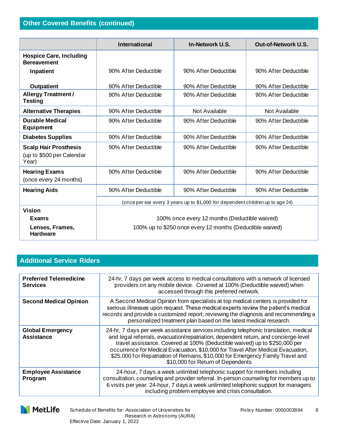|                                                                    | <b>International</b>                                                           | In-Network U.S.      | <b>Out-of-Network U.S.</b> |
|--------------------------------------------------------------------|--------------------------------------------------------------------------------|----------------------|----------------------------|
| <b>Hospice Care, Including</b><br><b>Bereavement</b>               |                                                                                |                      |                            |
| Inpatient                                                          | 90% After Deductible                                                           | 90% After Deductible | 90% After Deductible       |
| <b>Outpatient</b>                                                  | 90% After Deductible                                                           | 90% After Deductible | 90% After Deductible       |
| <b>Allergy Treatment /</b><br><b>Testing</b>                       | 90% After Deductible                                                           | 90% After Deductible | 90% After Deductible       |
| <b>Alternative Therapies</b>                                       | 90% After Deductible                                                           | Not Available        | Not Available              |
| <b>Durable Medical</b><br><b>Equipment</b>                         | 90% After Deductible                                                           | 90% After Deductible | 90% After Deductible       |
| <b>Diabetes Supplies</b>                                           | 90% After Deductible                                                           | 90% After Deductible | 90% After Deductible       |
| <b>Scalp Hair Prosthesis</b><br>(up to \$500 per Calendar<br>Year) | 90% After Deductible                                                           | 90% After Deductible | 90% After Deductible       |
| <b>Hearing Exams</b><br>(once every 24 months)                     | 90% After Deductible                                                           | 90% After Deductible | 90% After Deductible       |
| <b>Hearing Aids</b>                                                | 90% After Deductible                                                           | 90% After Deductible | 90% After Deductible       |
|                                                                    | (once per ear every 3 years up to \$1,000 for dependent children up to age 24) |                      |                            |
| <b>Vision</b>                                                      |                                                                                |                      |                            |
| <b>Exams</b>                                                       | 100% once every 12 months (Deductible waived)                                  |                      |                            |
| Lenses, Frames,<br><b>Hardware</b>                                 | 100% up to \$250 once every 12 months (Deductible waived)                      |                      |                            |

## **Additional Service Riders**

| <b>Preferred Telemedicine</b><br><b>Services</b> | 24-hr, 7 days per week access to medical consultations with a network of licensed<br>providers on any mobile device. Covered at 100% (Deductible waived) when<br>accessed through this preferred network.                                                                                                                                                                                                                                                            |
|--------------------------------------------------|----------------------------------------------------------------------------------------------------------------------------------------------------------------------------------------------------------------------------------------------------------------------------------------------------------------------------------------------------------------------------------------------------------------------------------------------------------------------|
| <b>Second Medical Opinion</b>                    | A Second Medical Opinion from specialists at top medical centers is provided for<br>serious illnesses upon request. These medical experts review the patient's medical<br>records and provide a customized report, reviewing the diagnosis and recommending a<br>personalized treatment plan based on the latest medical research.                                                                                                                                   |
| <b>Global Emergency</b><br><b>Assistance</b>     | 24-hr, 7 days per week assistance services including telephonic translation, medical<br>and legal referrals, evacuation/repatriation, dependent return, and concierge-level<br>travel assistance. Covered at 100% (Deductible waived) up to \$250,000 per<br>occurrence for Medical Evacuation, \$10,000 for Travel After Medical Evacuation,<br>\$25,000 for Repatriation of Remains, \$10,000 for Emergency Family Travel and<br>\$10,000 for Return of Dependents |
| <b>Employee Assistance</b><br>Program            | 24-hour, 7 days a week unlimited telephonic support for members including<br>consultation, counseling and provider referral. In-person counseling for members up to<br>6 visits per year. 24-hour, 7 days a week unlimited telephonic support for managers<br>including problem employee and crisis consultation.                                                                                                                                                    |

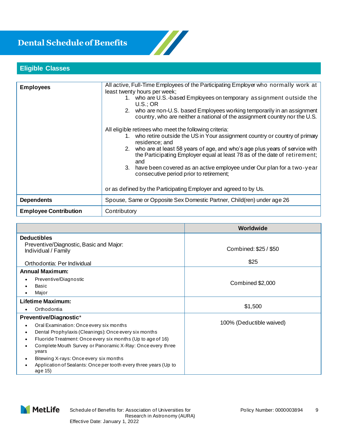# **Dental Schedule of Benefits**



# **Eligible Classes**

| <b>Employees</b>             | All active, Full-Time Employees of the Participating Employer who normally work at<br>least twenty hours per week;<br>1. who are U.S.-based Employees on temporary assignment outside the<br>U.S.:OR<br>2. who are non-U.S. based Employees working temporarily in an assignment<br>country, who are neither a national of the assignment country nor the U.S.                                                                                                                                                             |  |
|------------------------------|----------------------------------------------------------------------------------------------------------------------------------------------------------------------------------------------------------------------------------------------------------------------------------------------------------------------------------------------------------------------------------------------------------------------------------------------------------------------------------------------------------------------------|--|
|                              | All eligible retirees who meet the following criteria:<br>1. who retire outside the US in Your assignment country or country of primary<br>residence; and<br>2. who are at least 58 years of age, and who's age plus years of service with<br>the Participating Employer equal at least 78 as of the date of retirement;<br>and<br>3. have been covered as an active employee under Our plan for a two-year<br>consecutive period prior to retirement;<br>or as defined by the Participating Employer and agreed to by Us. |  |
| <b>Dependents</b>            | Spouse, Same or Opposite Sex Domestic Partner, Child(ren) under age 26                                                                                                                                                                                                                                                                                                                                                                                                                                                     |  |
| <b>Employee Contribution</b> | Contributory                                                                                                                                                                                                                                                                                                                                                                                                                                                                                                               |  |

|                                                                                                                                                                                                                                                                                                                                                                                           | Worldwide                |  |
|-------------------------------------------------------------------------------------------------------------------------------------------------------------------------------------------------------------------------------------------------------------------------------------------------------------------------------------------------------------------------------------------|--------------------------|--|
| <b>Deductibles</b><br>Preventive/Diagnostic, Basic and Major:<br>Individual / Family                                                                                                                                                                                                                                                                                                      | Combined: \$25 / \$50    |  |
| Orthodontia: Per Individual                                                                                                                                                                                                                                                                                                                                                               | \$25                     |  |
| <b>Annual Maximum:</b><br>Preventive/Diagnostic<br>Basic<br>Major                                                                                                                                                                                                                                                                                                                         | Combined \$2,000         |  |
| <b>Lifetime Maximum:</b><br>Orthodontia<br>٠                                                                                                                                                                                                                                                                                                                                              | \$1,500                  |  |
| Preventive/Diagnostic*<br>Oral Examination: Once every six months<br>Dental Prophylaxis (Cleanings): Once every six months<br>Fluoride Treatment: Once every six months (Up to age of 16)<br>Complete Mouth Survey or Panoramic X-Ray: Once every three<br>years<br>Bitewing X-rays: Once every six months<br>Application of Sealants: Once per tooth every three years (Up to<br>age 15) | 100% (Deductible waived) |  |

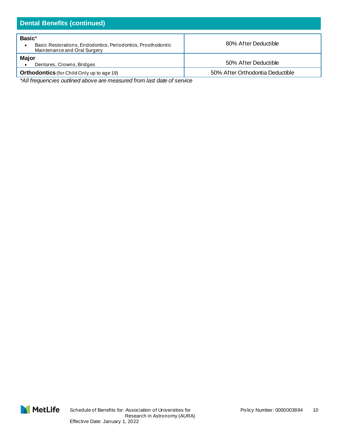| <b>Dental Benefits (continued)</b>                                                                     |                                  |  |  |
|--------------------------------------------------------------------------------------------------------|----------------------------------|--|--|
| Basic*<br>Basic Restorations, Endodontics, Periodontics, Prosthodontic<br>Maintenance and Oral Surgery | 80% After Deductible             |  |  |
| <b>Major</b><br>Dentures, Crowns, Bridges                                                              | 50% After Deductible             |  |  |
| <b>Orthodontics</b> (for Child Only up to age 19)                                                      | 50% After Orthodontia Deductible |  |  |

*\*All frequencies outlined above are measured from last date of service*

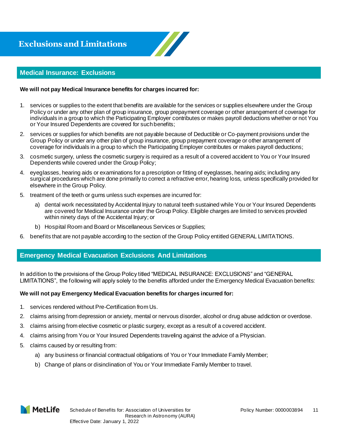

#### **Medical Insurance: Exclusions**

#### **We will not pay Medical Insurance benefits for charges incurred for:**

- 1. services or supplies to the extent that benefits are available for the services or supplies elsewhere under the Group Policy or under any other plan of group insurance, group prepayment coverage or other arrangement of coverage for individuals in a group to which the Participating Employer contributes or makes payroll deductions whether or not You or Your Insured Dependents are covered for such benefits;
- 2. services or supplies for which benefits are not payable because of Deductible or Co-payment provisions under the Group Policy or under any other plan of group insurance, group prepayment coverage or other arrangement of coverage for individuals in a group to which the Participating Employer contributes or makes payroll deductions;
- 3. cosmetic surgery, unless the cosmetic surgery is required as a result of a covered accident to You or Your Insured Dependents while covered under the Group Policy;
- 4. eyeglasses, hearing aids or examinations for a prescription or fitting of eyeglasses, hearing aids; including any surgical procedures which are done primarily to correct a refractive error, hearing loss, unless specifically provided for elsewhere in the Group Policy.
- 5. treatment of the teeth or gums unless such expenses are incurred for:
	- a) dental work necessitated by Accidental Injury to natural teeth sustained while You or Your Insured Dependents are covered for Medical Insurance under the Group Policy. Eligible charges are limited to services provided within ninety days of the Accidental Injury; or
	- b) Hospital Room and Board or Miscellaneous Services or Supplies;
- 6. benefits that are not payable according to the section of the Group Policy entitled GENERAL LIMITATIONS.

#### **Emergency Medical Evacuation Exclusions And Limitations**

In addition to the provisions of the Group Policy titled "MEDICAL INSURANCE: EXCLUSIONS" and "GENERAL LIMITATIONS", the following will apply solely to the benefits afforded under the Emergency Medical Evacuation benefits:

#### **We will not pay Emergency Medical Evacuation benefits for charges incurred for:**

- 1. services rendered without Pre-Certification from Us.
- 2. claims arising from depression or anxiety, mental or nervous disorder, alcohol or drug abuse addiction or overdose.
- 3. claims arising from elective cosmetic or plastic surgery, except as a result of a covered accident.
- 4. claims arising from You or Your Insured Dependents traveling against the advice of a Physician.
- 5. claims caused by or resulting from:
	- a) any business or financial contractual obligations of You or Your Immediate Family Member;
	- b) Change of plans or disinclination of You or Your Immediate Family Member to travel.

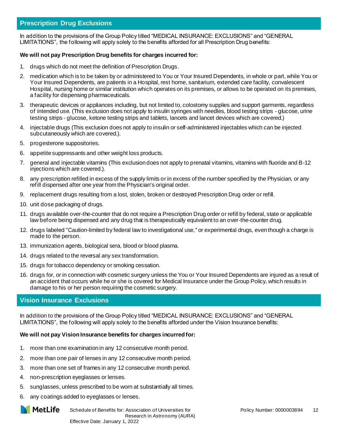#### **Prescription Drug Exclusions**

In addition to the provisions of the Group Policy titled "MEDICAL INSURANCE: EXCLUSIONS" and "GENERAL LIMITATIONS", the following will apply solely to the benefits afforded for all Prescription Drug benefits:

#### **We will not pay Prescription Drug benefits for charges incurred for:**

- 1. drugs which do not meet the definition of Prescription Drugs.
- 2. medication which is to be taken by or administered to You or Your Insured Dependents, in whole or part, while You or Your Insured Dependents, are patients in a Hospital, rest home, sanitarium, extended care facility, convalescent Hospital, nursing home or similar institution which operates on its premises, or allows to be operated on its premises, a facility for dispensing pharmaceuticals.
- 3. therapeutic devices or appliances including, but not limited to, colostomy supplies and support garments, regardless of intended use. (This exclusion does not apply to insulin syringes with needles, blood testing strips - glucose, urine testing strips - glucose, ketone testing strips and tablets, lancets and lancet devices which are covered.)
- 4. injectable drugs (This exclusion does not apply to insulin or self-administered injectables which can be injected subcutaneously which are covered.).
- 5. progesterone suppositories.
- 6. appetite suppressants and other weight loss products.
- 7. general and injectable vitamins (This exclusion does not apply to prenatal vitamins, vitamins with fluoride and B-12 injections which are covered.).
- 8. any prescription refilled in excess of the supply limits or in excess of the number specified by the Physician, or any refill dispensed after one year from the Physician's original order.
- 9. replacement drugs resulting from a lost, stolen, broken or destroyed Prescription Drug order or refill.
- 10. unit dose packaging of drugs.
- 11. drugs available over-the-counter that do not require a Prescription Drug order or refill by federal, state or applicable law before being dispensed and any drug that is therapeutically equivalent to an over-the-counter drug.
- 12. drugs labeled "Caution-limited by federal law to investigational use," or experimental drugs, even though a charge is made to the person.
- 13. immunization agents, biological sera, blood or blood plasma.
- 14. drugs related to the reversal any sex transformation.
- 15. drugs for tobacco dependency or smoking cessation.
- 16. drugs for, or in connection with cosmetic surgery unless the You or Your Insured Dependents are injured as a result of an accident that occurs while he or she is covered for Medical Insurance under the Group Policy, which results in damage to his or her person requiring the cosmetic surgery.

#### **Vision Insurance Exclusions**

In addition to the provisions of the Group Policy titled "MEDICAL INSURANCE: EXCLUSIONS" and "GENERAL LIMITATIONS", the following will apply solely to the benefits afforded under the Vision Insurance benefits:

#### **We will not pay Vision Insurance benefits for charges incurred for:**

- 1. more than one examination in any 12 consecutive month period.
- 2. more than one pair of lenses in any 12 consecutive month period.
- 3. more than one set of frames in any 12 consecutive month period.
- 4. non-prescription eyeglasses or lenses.
- 5. sunglasses, unless prescribed to be worn at substantially all times.
- 6. any coatings added to eyeglasses or lenses.

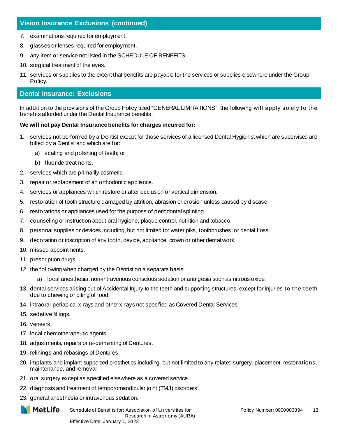#### **Vision Insurance Exclusions (continued)**

- 7. examinations required for employment.
- 8. glasses or lenses required for employment.
- 9. any item or service not listed in the SCHEDULE OF BENEFITS.
- 10. surgical treatment of the eyes.
- 11. services or supplies to the extent that benefits are payable for the services or supplies elsewhere under the Group Policy.

#### **Dental Insurance: Exclusions**

In addition to the provisions of the Group Policy titled "GENERAL LIMITATIONS", the following will apply solely to the benefits afforded under the Dental Insurance benefits:

#### **We will not pay Dental Insurance benefits for charges incurred for:**

- services not performed by a Dentist except for those services of a licensed Dental Hygienist which are supervised and billed by a Dentist and which are for:
	- a) scaling and polishing of teeth; or
	- b) fluoride treatments.
- 2. services which are primarily cosmetic.
- 3. repair or replacement of an orthodontic appliance.
- 4. services or appliances which restore or alter occlusion or vertical dimension.
- 5. restoration of tooth structure damaged by attrition, abrasion or erosion unless caused by disease.
- 6. restorations or appliances used for the purpose of periodontal splinting.
- 7. counseling or instruction about oral hygiene, plaque control, nutrition and tobacco.
- 8. personal supplies or devices including, but not limited to: water piks, toothbrushes, or dental floss.
- 9. decoration or inscription of any tooth, device, appliance, crown or other dental work.
- 10. missed appointments.
- 11. prescription drugs.
- 12. the following when charged by the Dentist on a separate basis:
	- a) local anesthesia, non-intravenous conscious sedation or analgesia such as nitrous oxide.
- 13. dental services arising out of Accidental Injury to the teeth and supporting structures, except for injuries to the teeth due to chewing or biting of food.
- 14. intraoral-periapical x-rays and other x-rays not specified as Covered Dental Services.
- 15. sedative fillings.
- 16. veneers.
- 17. local chemotherapeutic agents.
- 18. adjustments, repairs or re-cementing of Dentures.
- 19. relinings and rebasings of Dentures.
- 20. implants and implant supported prosthetics including, but not limited to any related surgery, placement, restorations, maintenance, and removal.
- 21. oral surgery except as specified elsewhere as a covered service.
- 22. diagnosis and treatment of temporomandibular joint (TMJ) disorders.
- 23. general anesthesia or intravenous sedation.

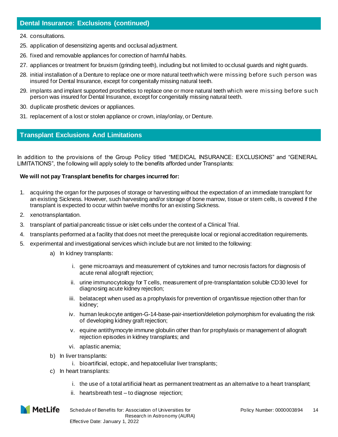#### **Dental Insurance: Exclusions (continued)**

- 24. consultations.
- 25. application of desensitizing agents and occlusal adjustment.
- 26. fixed and removable appliances for correction of harmful habits.
- 27. appliances or treatment for bruxism (grinding teeth), including but not limited to occlusal guards and night guards.
- 28. initial installation of a Denture to replace one or more natural teeth which were missing before such person was insured for Dental Insurance, except for congenitally missing natural teeth.
- 29. implants and implant supported prosthetics to replace one or more natural teeth which were missing before such person was insured for Dental Insurance, except for congenitally missing natural teeth.
- 30. duplicate prosthetic devices or appliances.
- 31. replacement of a lost or stolen appliance or crown, inlay/onlay, or Denture.

#### **Transplant Exclusions And Limitations**

In addition to the provisions of the Group Policy titled "MEDICAL INSURANCE: EXCLUSIONS" and "GENERAL LIMITATIONS", the following will apply solely to the benefits afforded under Transplants:

#### **We will not pay Transplant benefits for charges incurred for:**

- 1. acquiring the organ for the purposes of storage or harvesting without the expectation of an immediate transplant for an existing Sickness. However, such harvesting and/or storage of bone marrow, tissue or stem cells, is covered if the transplant is expected to occur within twelve months for an existing Sickness.
- 2. xenotransplantation.
- 3. transplant of partial pancreatic tissue or islet cells under the context of a Clinical Trial.
- 4. transplants performed at a facility that does not meet the prerequisite local or regional accreditation requirements.
- 5. experimental and investigational services which include but are not limited to the following:
	- a) In kidney transplants:
		- i. gene microarrays and measurement of cytokines and tumor necrosis factors for diagnosis of acute renal allograft rejection;
		- ii. urine immunocytology for T cells, measurement of pre-transplantation soluble CD30 level for diagnosing acute kidney rejection;
		- iii. belatacept when used as a prophylaxis for prevention of organ/tissue rejection other than for kidney;
		- iv. human leukocyte antigen-G-14-base-pair-insertion/deletion polymorphism for evaluating the risk of developing kidney graft rejection;
		- v. equine antithymocyte immune globulin other than for prophylaxis or management of allograft rejection episodes in kidney transplants; and
		- vi. aplastic anemia;
	- b) In liver transplants:
		- i. bioartificial, ectopic, and hepatocellular liver transplants;
	- c) In heart transplants:
		- i. the use of a total artificial heart as permanent treatment as an alternative to a heart transplant;
		- ii. heartsbreath test to diagnose rejection;

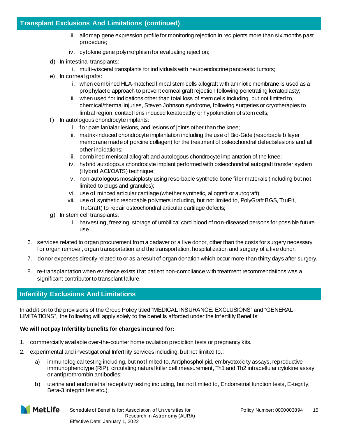#### **Transplant Exclusions And Limitations (continued)**

- iii. allomap gene expression profile for monitoring rejection in recipients more than six months past procedure;
- iv. cytokine gene polymorphism for evaluating rejection;
- d) In intestinal transplants:
	- i. multi-visceral transplants for individuals with neuroendocrine pancreatic tumors;
- e) In corneal grafts:
	- i. when combined HLA-matched limbal stem cells allograft with amniotic membrane is used as a prophylactic approach to prevent corneal graft rejection following penetrating keratoplasty;
	- ii. when used for indications other than total loss of stem cells including, but not limited to, chemical/thermal injuries, Steven Johnson syndrome, following surgeries or cryotherapies to limbal region, contact lens induced keratopathy or hypofunction of stem cells;
- f) In autologous chondrocyte implants:
	- i. for patellar/talar lesions, and lesions of joints other than the knee;
	- ii. matrix-induced chondrocyte implantation including the use of Bio-Gide (resorbable bilayer membrane made of porcine collagen) for the treatment of osteochondral defects/lesions and all other indications;
	- iii. combined meniscal allograft and autologous chondrocyte implantation of the knee;
	- iv. hybrid autologous chondrocyte implant performed with osteochondral autograft transfer system (Hybrid ACI/OATS) technique;
	- v. non-autologous mosaicplasty using resorbable synthetic bone filler materials (including but not limited to plugs and granules);
	- vi. use of minced articular cartilage (whether synthetic, allograft or autograft);
	- vii. use of synthetic resorbable polymers including, but not limited to, PolyGraft BGS, TruFit, TruGraft) to repair osteochondral articular cartilage defects;
- g) In stem cell transplants:
	- i. harvesting, freezing, storage of umbilical cord blood of non-diseased persons for possible future use.
- 6. services related to organ procurement from a cadaver or a live donor, other than the costs for surgery necessary for organ removal, organ transportation and the transportation, hospitalization and surgery of a live donor.
- 7. donor expenses directly related to or as a result of organ donation which occur more than thirty days after surgery.
- 8. re-transplantation when evidence exists that patient non-compliance with treatment recommendations was a significant contributor to transplant failure.

#### **Infertility Exclusions And Limitations**

In addition to the provisions of the Group Policy titled "MEDICAL INSURANCE: EXCLUSIONS" and "GENERAL LIMITATIONS", the following will apply solely to the benefits afforded under the Infertility Benefits:

#### **We will not pay Infertility benefits for charges incurred for:**

- 1. commercially available over-the-counter home ovulation prediction tests or pregnancy kits.
- 2. experimental and investigational Infertility services including, but not limited to,:
	- a) immunological testing including, but not limited to, Antiphospholipid, embryotoxicity assays, reproductive immunophenotype (RIP), circulating natural killer cell measurement, Th1 and Th2 intracellular cytokine assay or antiprothrombin antibodies;
	- b) uterine and endometrial receptivity testing including, but not limited to, Endometrial function tests, E-tegrity, Beta-3 integrin test etc.);

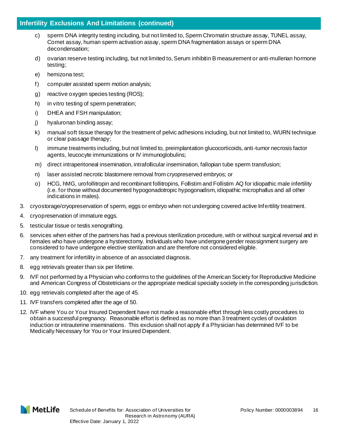- c) sperm DNA integrity testing including, but not limited to, Sperm Chromatin structure assay, TUNEL assay, Comet assay, human sperm activation assay, sperm DNA fragmentation assays or sperm DNA decondensation;
- d) ovarian reserve testing including, but not limited to, Serum inhibitin B measurement or anti-mullerian hormone testing;
- e) hemizona test;
- f) computer assisted sperm motion analysis;
- g) reactive oxygen species testing (ROS);
- h) in vitro testing of sperm penetration;
- i) DHEA and FSH manipulation;
- j) hyaluronan binding assay;
- k) manual soft tissue therapy for the treatment of pelvic adhesions including, but not limited to, WURN technique or clear passage therapy;
- l) immune treatments including, but not limited to, preimplantation glucocorticoids, anti-tumor necrosis factor agents, leucocyte immunizations or IV immunoglobulins;
- m) direct intraperitoneal insemination, intrafollicular insemination, fallopian tube sperm transfusion;
- n) laser assisted necrotic blastomere removal from cryopreserved embryos; or
- o) HCG, hMG, urofollitropin and recombinant follitropins, Follistim and Follistim AQ for idiopathic male infertility (i.e. for those without documented hypogonadotropic hypogonadism, idiopathic microphallus and all other indications in males).
- 3. cryostorage/cryopreservation of sperm, eggs or embryo when not undergoing covered active Infertility treatment.
- 4. cryopreservation of immature eggs.
- 5. testicular tissue or testis xenografting.
- 6. services when either of the partners has had a previous sterilization procedure, with or without surgical reversal and in females who have undergone a hysterectomy. Individuals who have undergone gender reassignment surgery are considered to have undergone elective sterilization and are therefore not considered eligible.
- 7. any treatment for infertility in absence of an associated diagnosis.
- 8. egg retrievals greater than six per lifetime.
- 9. IVF not performed by a Physician who conforms to the guidelines of the American Society for Reproductive Medicine and American Congress of Obstetricians or the appropriate medical specialty society in the corresponding jurisdiction.
- 10. egg retrievals completed after the age of 45.
- 11. IVF transfers completed after the age of 50.
- 12. IVF where You or Your Insured Dependent have not made a reasonable effort through less costly procedures to obtain a successful pregnancy. Reasonable effort is defined as no more than 3 treatment cycles of ovulation induction or intrauterine inseminations. This exclusion shall not apply if a Physician has determined IVF to be Medically Necessary for You or Your Insured Dependent.